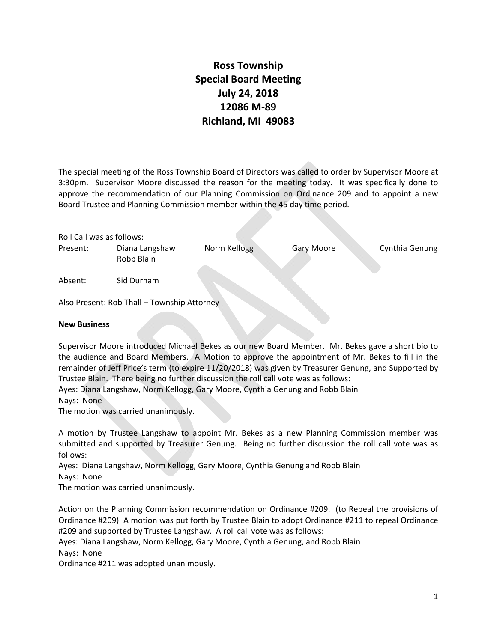## **Ross Township Special Board Meeting July 24, 2018 12086 M‐89 Richland, MI 49083**

The special meeting of the Ross Township Board of Directors was called to order by Supervisor Moore at 3:30pm. Supervisor Moore discussed the reason for the meeting today. It was specifically done to approve the recommendation of our Planning Commission on Ordinance 209 and to appoint a new Board Trustee and Planning Commission member within the 45 day time period.

| Roll Call was as follows: |                                             |              |            |                |
|---------------------------|---------------------------------------------|--------------|------------|----------------|
| Present:                  | Diana Langshaw<br>Robb Blain                | Norm Kellogg | Gary Moore | Cynthia Genung |
| Absent:                   | Sid Durham                                  |              |            |                |
|                           | Also Dussent: Deb Thell Teurnabin Attenneur |              |            |                |

Also Present: Rob Thall – Township Attorney

## **New Business**

Supervisor Moore introduced Michael Bekes as our new Board Member. Mr. Bekes gave a short bio to the audience and Board Members. A Motion to approve the appointment of Mr. Bekes to fill in the remainder of Jeff Price's term (to expire 11/20/2018) was given by Treasurer Genung, and Supported by Trustee Blain. There being no further discussion the roll call vote was as follows:

Ayes: Diana Langshaw, Norm Kellogg, Gary Moore, Cynthia Genung and Robb Blain

Nays: None

The motion was carried unanimously.

A motion by Trustee Langshaw to appoint Mr. Bekes as a new Planning Commission member was submitted and supported by Treasurer Genung. Being no further discussion the roll call vote was as follows:

Ayes: Diana Langshaw, Norm Kellogg, Gary Moore, Cynthia Genung and Robb Blain

Nays: None

The motion was carried unanimously.

Action on the Planning Commission recommendation on Ordinance #209. (to Repeal the provisions of Ordinance #209) A motion was put forth by Trustee Blain to adopt Ordinance #211 to repeal Ordinance #209 and supported by Trustee Langshaw. A roll call vote was as follows:

Ayes: Diana Langshaw, Norm Kellogg, Gary Moore, Cynthia Genung, and Robb Blain Nays: None

Ordinance #211 was adopted unanimously.